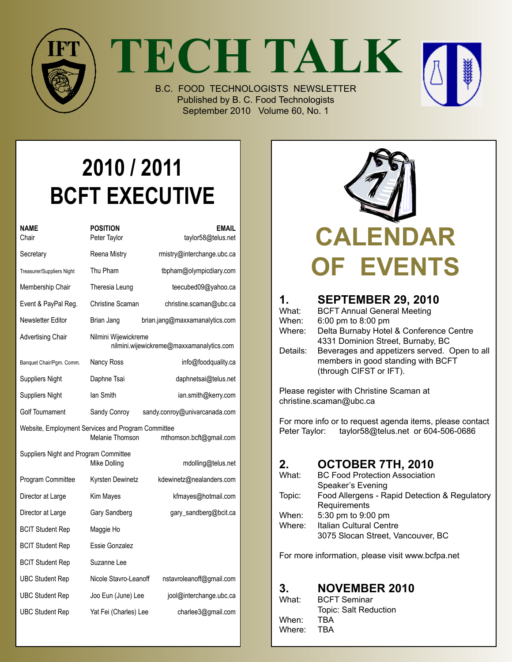

**TECH TALK**



B.C. FOOD TECHNOLOGISTS NEWSLETTER Published by B. C. Food Technologists September 2010 Volume 60, No. 1

# **2010 / 2011 BCFT EXECUTIVE**

| NAME<br>Chair                                      | POSITION<br>Peter Taylor                                         | <b>EMAIL</b><br>taylor58@telus.net |  |
|----------------------------------------------------|------------------------------------------------------------------|------------------------------------|--|
| Secretary                                          | Reena Mistry                                                     | rmistry@interchange.ubc.ca         |  |
| Treasurer/Suppliers Night                          | Thu Pham                                                         | tbpham@olympicdiary.com            |  |
| Membership Chair                                   | Theresia Leung                                                   | teecubed09@yahoo.ca                |  |
| Event & PayPal Reg.                                | Christine Scaman                                                 | christine.scaman@ubc.ca            |  |
| Newsletter Editor                                  | Brian Jang                                                       | brian.jang@maxxamanalytics.com     |  |
| <b>Advertising Chair</b>                           | Nilmini Wijewickreme<br>nilmini.wijewickreme@maxxamanalytics.com |                                    |  |
| Banquet Chair/Pgm. Comm.                           | Nancy Ross                                                       | info@foodquality.ca                |  |
| <b>Suppliers Night</b>                             | Daphne Tsai                                                      | daphnetsai@telus.net               |  |
| <b>Suppliers Night</b>                             | lan Smith                                                        | ian.smith@kerry.com                |  |
| Golf Tournament                                    | Sandy Conroy                                                     | sandy.conroy@univarcanada.com      |  |
| Website, Employment Services and Program Committee | Melanie Thomson                                                  | mthomson.bcft@gmail.com            |  |
| Suppliers Night and Program Committee              | Mike Dolling                                                     | mdolling@telus.net                 |  |
| Program Committee                                  | Kyrsten Dewinetz                                                 | kdewinetz@nealanders.com           |  |
| Director at Large                                  | Kim Mayes                                                        | kfmayes@hotmail.com                |  |
| Director at Large                                  | Gary Sandberg                                                    | gary_sandberg@bcit.ca              |  |
| <b>BCIT Student Rep</b>                            | Maggie Ho                                                        |                                    |  |
| <b>BCIT Student Rep</b>                            | Essie Gonzalez                                                   |                                    |  |
| <b>BCIT Student Rep</b>                            | Suzanne Lee                                                      |                                    |  |
| <b>UBC Student Rep</b>                             | Nicole Stavro-Leanoff                                            | nstavroleanoff@gmail.com           |  |
| <b>UBC Student Rep</b>                             | Joo Eun (June) Lee                                               | jool@interchange.ubc.ca            |  |
| <b>UBC Student Rep</b>                             | Yat Fei (Charles) Lee                                            | charlee3@gmail.com                 |  |
|                                                    |                                                                  |                                    |  |



| 1.<br>What:<br>When:<br>Where:<br>Details: | <b>SEPTEMBER 29, 2010</b><br><b>BCFT Annual General Meeting</b><br>6:00 pm to 8:00 pm<br>Delta Burnaby Hotel & Conference Centre<br>4331 Dominion Street, Burnaby, BC<br>Beverages and appetizers served. Open to all<br>members in good standing with BCFT<br>(through CIFST or IFT). |
|--------------------------------------------|----------------------------------------------------------------------------------------------------------------------------------------------------------------------------------------------------------------------------------------------------------------------------------------|
|                                            |                                                                                                                                                                                                                                                                                        |

Please register with Christine Scaman at christine.scaman@ubc.ca

For more info or to request agenda items, please contact Peter Taylor: taylor58@telus.net or 604-506-0686

| 2.     | OCTOBER 7TH, 2010                             |
|--------|-----------------------------------------------|
| What:  | <b>BC Food Protection Association</b>         |
|        | Speaker's Evening                             |
| Topic: | Food Allergens - Rapid Detection & Regulatory |
|        | Requirements                                  |
| When:  | 5:30 pm to 9:00 pm                            |
| Where: | Italian Cultural Centre                       |
|        | 3075 Slocan Street, Vancouver, BC             |

For more information, please visit www.bcfpa.net

### **3. November 2010**

| What:  | <b>BCFT Seminar</b>   |
|--------|-----------------------|
|        | Topic: Salt Reduction |
| When:  | TBA                   |
| Where: | TBA                   |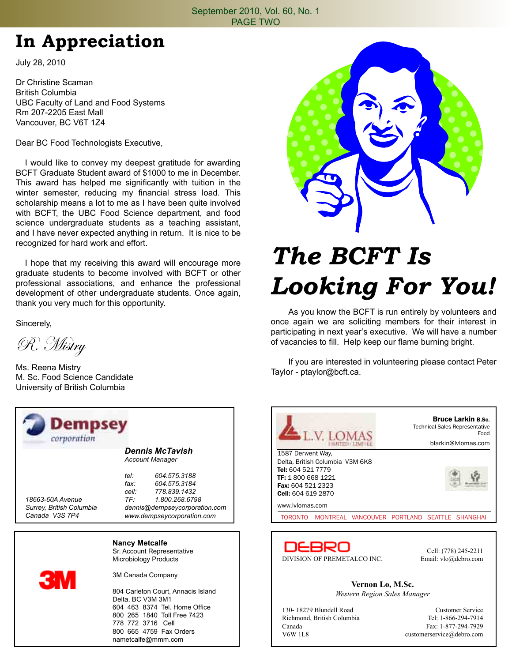#### September 2010, Vol. 60, No. 1 PAGE TWO

## **In Appreciation**

July 28, 2010

Dr Christine Scaman British Columbia UBC Faculty of Land and Food Systems Rm 207-2205 East Mall Vancouver, BC V6T 1Z4

Dear BC Food Technologists Executive,

 I would like to convey my deepest gratitude for awarding BCFT Graduate Student award of \$1000 to me in December. This award has helped me significantly with tuition in the winter semester, reducing my financial stress load. This scholarship means a lot to me as I have been quite involved with BCFT, the UBC Food Science department, and food science undergraduate students as a teaching assistant, and I have never expected anything in return. It is nice to be recognized for hard work and effort.

 I hope that my receiving this award will encourage more graduate students to become involved with BCFT or other professional associations, and enhance the professional development of other undergraduate students. Once again, thank you very much for this opportunity.

Sincerely,

R. Mistry

Ms. Reena Mistry M. Sc. Food Science Candidate University of British Columbia

| <b>Dempsey</b><br>corporation |                                    |  |  |
|-------------------------------|------------------------------------|--|--|
|                               | <b>Dennis McTavish</b>             |  |  |
|                               | <b>Account Manager</b>             |  |  |
|                               | tel:<br>604.575.3188               |  |  |
|                               | fax <sup>.</sup><br>604.575.3184   |  |  |
|                               | cell: 778,839,1432                 |  |  |
| 18663-60A Avenue              | TF: 1.800.268.6798                 |  |  |
| Surrey, British Columbia      | dennis@dempseycorporation.com      |  |  |
| Canada V3S 7P4                | www.dempseycorporation.com         |  |  |
|                               | <b>Nancy Metcalfe</b>              |  |  |
|                               | Sr. Account Representative         |  |  |
|                               | Microbiology Products              |  |  |
| <b>3M</b>                     | 3M Canada Company                  |  |  |
|                               | 804 Carleton Court, Annacis Island |  |  |
|                               | Delta, BC V3M 3M1                  |  |  |
|                               | 604 463 8374 Tel. Home Office      |  |  |
|                               | 800 265 1840 Toll Free 7423        |  |  |
|                               | 778 772 3716 Cell                  |  |  |

800 665 4759 Fax Orders nametcalfe@mmm.com



# *The BCFT Is Looking For You!*

 As you know the BCFT is run entirely by volunteers and once again we are soliciting members for their interest in participating in next year's executive. We will have a number of vacancies to fill. Help keep our flame burning bright.

 If you are interested in volunteering please contact Peter Taylor - ptaylor@bcft.ca.



Canada Fax: 1-877-294-7929<br>V6W 1L8 customerservice@debro.com customerservice@debro.com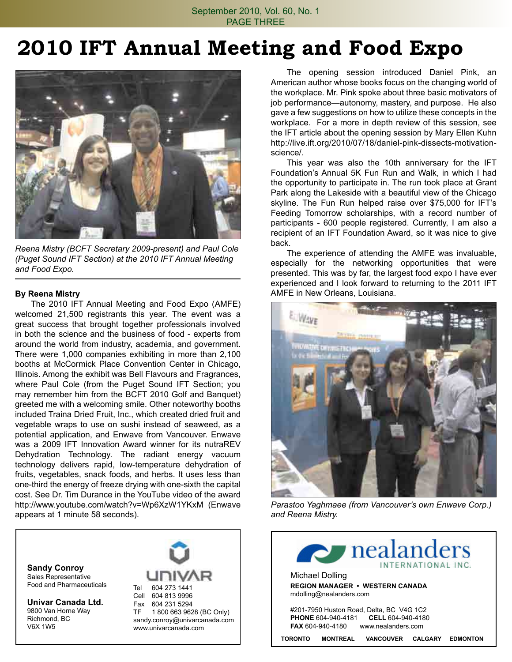## **2010 IFT Annual Meeting and Food Expo**



*Reena Mistry (BCFT Secretary 2009-present) and Paul Cole (Puget Sound IFT Section) at the 2010 IFT Annual Meeting and Food Expo.*

#### **By Reena Mistry**

 The 2010 IFT Annual Meeting and Food Expo (AMFE) welcomed 21,500 registrants this year. The event was a great success that brought together professionals involved in both the science and the business of food - experts from around the world from industry, academia, and government. There were 1,000 companies exhibiting in more than 2,100 booths at McCormick Place Convention Center in Chicago, Illinois. Among the exhibit was Bell Flavours and Fragrances, where Paul Cole (from the Puget Sound IFT Section; you may remember him from the BCFT 2010 Golf and Banquet) greeted me with a welcoming smile. Other noteworthy booths included Traina Dried Fruit, Inc., which created dried fruit and vegetable wraps to use on sushi instead of seaweed, as a potential application, and Enwave from Vancouver. Enwave was a 2009 IFT Innovation Award winner for its nutraREV Dehydration Technology. The radiant energy vacuum technology delivers rapid, low-temperature dehydration of fruits, vegetables, snack foods, and herbs. It uses less than one-third the energy of freeze drying with one-sixth the capital cost. See Dr. Tim Durance in the YouTube video of the award http://www.youtube.com/watch?v=Wp6XzW1YKxM (Enwave appears at 1 minute 58 seconds).

**Sandy Conroy** Sales Representative Food and Pharmaceuticals

**Univar Canada Ltd.** 9800 Van Horne Way Richmond, BC V6X 1W5



 The opening session introduced Daniel Pink, an American author whose books focus on the changing world of the workplace. Mr. Pink spoke about three basic motivators of job performance—autonomy, mastery, and purpose. He also gave a few suggestions on how to utilize these concepts in the workplace. For a more in depth review of this session, see the IFT article about the opening session by Mary Ellen Kuhn http://live.ift.org/2010/07/18/daniel-pink-dissects-motivationscience/.

 This year was also the 10th anniversary for the IFT Foundation's Annual 5K Fun Run and Walk, in which I had the opportunity to participate in. The run took place at Grant Park along the Lakeside with a beautiful view of the Chicago skyline. The Fun Run helped raise over \$75,000 for IFT's Feeding Tomorrow scholarships, with a record number of participants - 600 people registered. Currently, I am also a recipient of an IFT Foundation Award, so it was nice to give back.

 The experience of attending the AMFE was invaluable, especially for the networking opportunities that were presented. This was by far, the largest food expo I have ever experienced and I look forward to returning to the 2011 IFT AMFE in New Orleans, Louisiana.



*Parastoo Yaghmaee (from Vancouver's own Enwave Corp.) and Reena Mistry.*

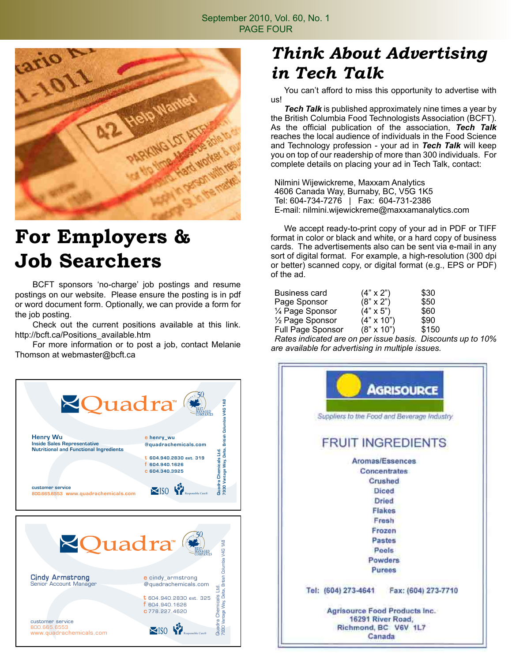

## **For Employers & Job Searchers**

 BCFT sponsors 'no-charge' job postings and resume postings on our website. Please ensure the posting is in pdf or word document form. Optionally, we can provide a form for the job posting.

 Check out the current positions available at this link. http://bcft.ca/Positions\_available.htm

 For more information or to post a job, contact Melanie Thomson at webmaster@bcft.ca



## *Think About Advertising in Tech Talk*

 You can't afford to miss this opportunity to advertise with us!

*Tech Talk* is published approximately nine times a year by the British Columbia Food Technologists Association (BCFT). As the official publication of the association, *Tech Talk*  reaches the local audience of individuals in the Food Science and Technology profession - your ad in *Tech Talk* will keep you on top of our readership of more than 300 individuals. For complete details on placing your ad in Tech Talk, contact:

Nilmini Wijewickreme, Maxxam Analytics 4606 Canada Way, Burnaby, BC, V5G 1K5 Tel: 604-734-7276 | Fax: 604-731-2386 E-mail: nilmini.wijewickreme@maxxamanalytics.com

 We accept ready-to-print copy of your ad in PDF or TIFF format in color or black and white, or a hard copy of business cards. The advertisements also can be sent via e-mail in any sort of digital format. For example, a high-resolution (300 dpi or better) scanned copy, or digital format (e.g., EPS or PDF) of the ad.

| Business card                          | $(4" \times 2")$  | \$30     |
|----------------------------------------|-------------------|----------|
| Page Sponsor                           | $(8" \times 2")$  | \$50     |
| 1/4 Page Sponsor                       | $(4" \times 5")$  | \$60     |
| $\frac{1}{2}$ Page Sponsor             | $(4" \times 10")$ | \$90     |
| Full Page Sponsor                      | $(8" \times 10")$ | \$150    |
| Pates indicated are on per issue basis |                   | Diccount |

*Rates indicated are on per issue basis. Discounts up to 10% are available for advertising in multiple issues.*

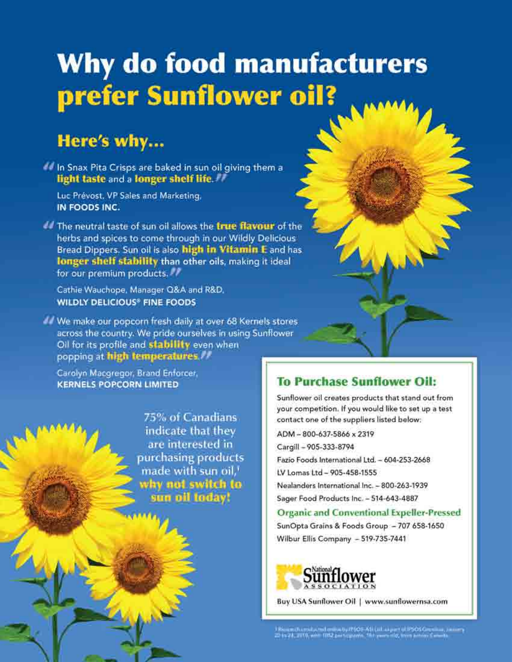# Why do food manufacturers prefer Sunflower oil?

## Here's why...

In Snax Pita Crisps are baked in sun oil giving them a light taste and a longer shelf life.

Luc Prévost, VP Sales and Marketing, IN FOODS INC.

The neutral taste of sun oil allows the true flavour of the herbs and spices to come through in our Wildly Delicious Bread Dippers. Sun oil is also high in Vitamin E and has longer shelf stability than other oils, making it ideal for our premium products.

Cathie Wauchope, Manager Q&A and R&D, **WILDLY DELICIOUS® FINE FOODS** 

We make our popcorn fresh daily at over 68 Kernels stores across the country. We pride ourselves in using Sunflower Oil for its profile and stability even when popping at high temperatures.

Carolyn Macqregor, Brand Enforcer, **KERNELS POPCORN LIMITED** 

> 75% of Canadians indicate that they are interested in purchasing products made with sun oil.<sup>1</sup> why not switch to sun oil today!

### **To Purchase Sunflower Oil:**

Sunflower oil creates products that stand out from your competition. If you would like to set up a test contact one of the suppliers listed below:

ADM-800-637-5866 x 2319 Cargill - 905-333-8794 Fazio Foods International Ltd. - 604-253-2668 LV Lomas Ltd - 905-458-1555 Nealanders International Inc. - 800-263-1939 Sager Food Products Inc. - 514-643-4887

### Organic and Conventional Expeller-Pressed

SunOpta Grains & Foods Group - 707 658-1650 Wilbur Ellis Company - 519-735-7441



Buy USA Sunflower Oil | www.sunflowernsa.com

).<br>Rieman (Asymborial anime by PSOS-ASI (all as part of PSOS Gromana), and<br> $\sim$  20 to 24, 2010, with TIS2 and support 10.6 groups tilt, there acts is formula